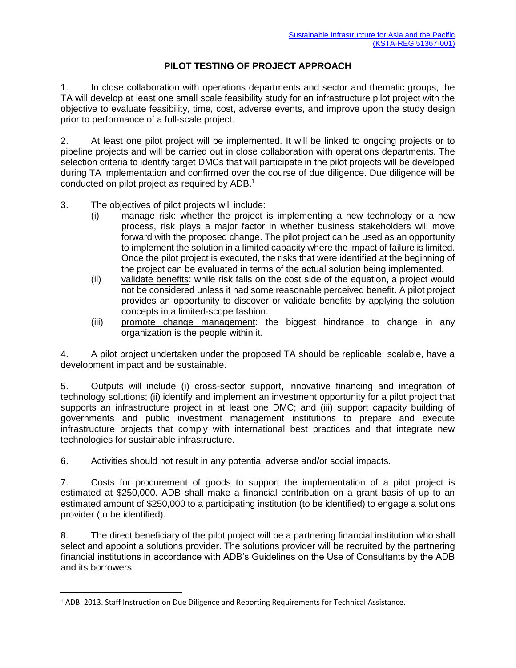## **PILOT TESTING OF PROJECT APPROACH**

1. In close collaboration with operations departments and sector and thematic groups, the TA will develop at least one small scale feasibility study for an infrastructure pilot project with the objective to evaluate feasibility, time, cost, adverse events, and improve upon the study design prior to performance of a full-scale project.

2. At least one pilot project will be implemented. It will be linked to ongoing projects or to pipeline projects and will be carried out in close collaboration with operations departments. The selection criteria to identify target DMCs that will participate in the pilot projects will be developed during TA implementation and confirmed over the course of due diligence. Due diligence will be conducted on pilot project as required by ADB.<sup>1</sup>

- 3. The objectives of pilot projects will include:
	- (i) manage risk: whether the project is implementing a new technology or a new process, risk plays a major factor in whether business stakeholders will move forward with the proposed change. The pilot project can be used as an opportunity to implement the solution in a limited capacity where the impact of failure is limited. Once the pilot project is executed, the risks that were identified at the beginning of the project can be evaluated in terms of the actual solution being implemented.
	- (ii) validate benefits: while risk falls on the cost side of the equation, a project would not be considered unless it had some reasonable perceived benefit. A pilot project provides an opportunity to discover or validate benefits by applying the solution concepts in a limited-scope fashion.
	- (iii) promote change management: the biggest hindrance to change in any organization is the people within it.

4. A pilot project undertaken under the proposed TA should be replicable, scalable, have a development impact and be sustainable.

5. Outputs will include (i) cross-sector support, innovative financing and integration of technology solutions; (ii) identify and implement an investment opportunity for a pilot project that supports an infrastructure project in at least one DMC; and (iii) support capacity building of governments and public investment management institutions to prepare and execute infrastructure projects that comply with international best practices and that integrate new technologies for sustainable infrastructure.

6. Activities should not result in any potential adverse and/or social impacts.

7. Costs for procurement of goods to support the implementation of a pilot project is estimated at \$250,000. ADB shall make a financial contribution on a grant basis of up to an estimated amount of \$250,000 to a participating institution (to be identified) to engage a solutions provider (to be identified).

8. The direct beneficiary of the pilot project will be a partnering financial institution who shall select and appoint a solutions provider. The solutions provider will be recruited by the partnering financial institutions in accordance with ADB's Guidelines on the Use of Consultants by the ADB and its borrowers.

 $\overline{\phantom{a}}$ 

<sup>&</sup>lt;sup>1</sup> ADB. 2013. Staff Instruction on Due Diligence and Reporting Requirements for Technical Assistance.